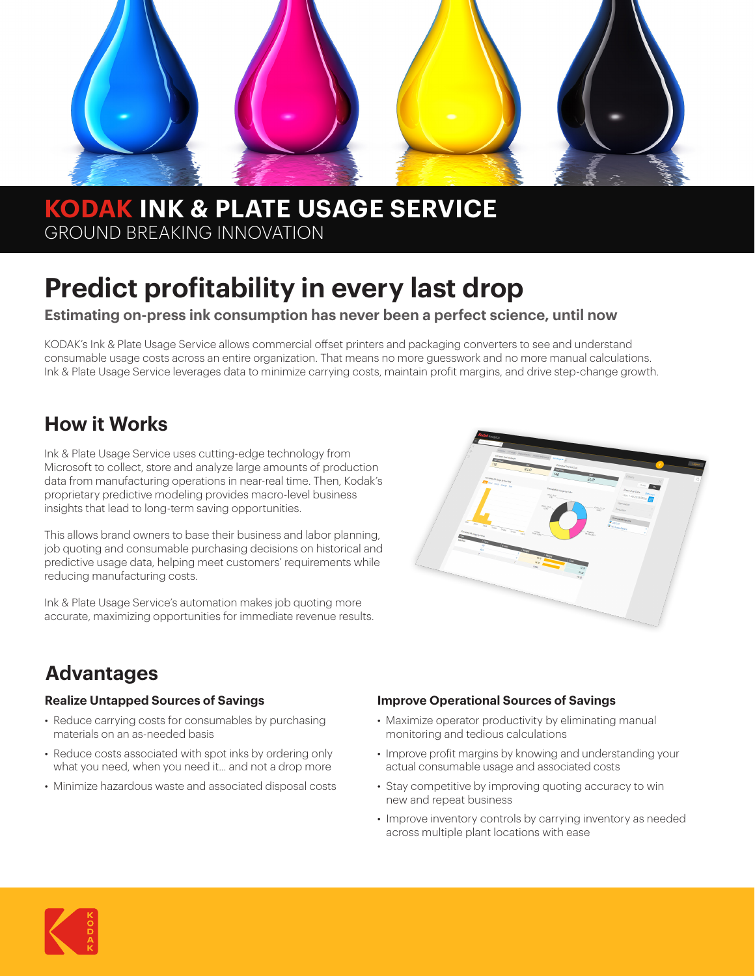

# **KODAK INK & PLATE USAGE SERVICE** GROUND BREAKING INNOVATION

# **Predict profitability in every last drop**

#### **Estimating on-press ink consumption has never been a perfect science, until now**

KODAK's Ink & Plate Usage Service allows commercial offset printers and packaging converters to see and understand consumable usage costs across an entire organization. That means no more guesswork and no more manual calculations. Ink & Plate Usage Service leverages data to minimize carrying costs, maintain profit margins, and drive step-change growth.

# **How it Works**

Ink & Plate Usage Service uses cutting-edge technology from Microsoft to collect, store and analyze large amounts of production data from manufacturing operations in near-real time. Then, Kodak's proprietary predictive modeling provides macro-level business insights that lead to long-term saving opportunities.

This allows brand owners to base their business and labor planning, job quoting and consumable purchasing decisions on historical and predictive usage data, helping meet customers' requirements while reducing manufacturing costs.

Ink & Plate Usage Service's automation makes job quoting more accurate, maximizing opportunities for immediate revenue results.



# **Advantages**

#### **Realize Untapped Sources of Savings**

- Reduce carrying costs for consumables by purchasing materials on an as-needed basis
- Reduce costs associated with spot inks by ordering only what you need, when you need it... and not a drop more
- Minimize hazardous waste and associated disposal costs

#### **Improve Operational Sources of Savings**

- Maximize operator productivity by eliminating manual monitoring and tedious calculations
- Improve profit margins by knowing and understanding your actual consumable usage and associated costs
- Stay competitive by improving quoting accuracy to win new and repeat business
- Improve inventory controls by carrying inventory as needed across multiple plant locations with ease